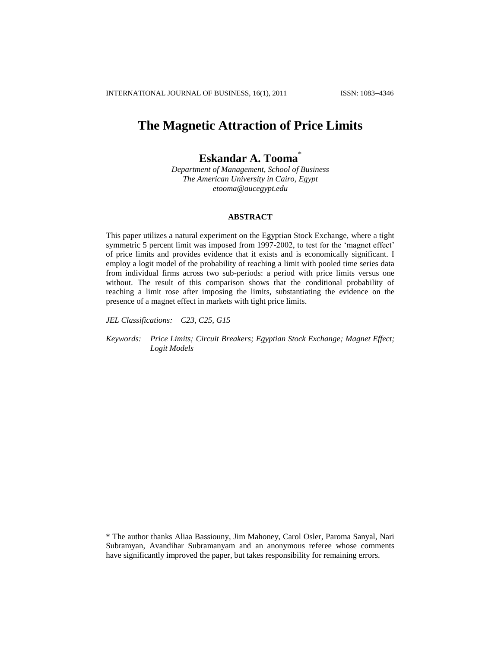# **The Magnetic Attraction of Price Limits**

# **Eskandar A. Tooma**\*

*Department of Management, School of Business The American University in Cairo, Egypt [etooma@aucegypt.edu](mailto:etooma@aucegypt.edu)*

# **ABSTRACT**

This paper utilizes a natural experiment on the Egyptian Stock Exchange, where a tight symmetric 5 percent limit was imposed from 1997-2002, to test for the 'magnet effect' of price limits and provides evidence that it exists and is economically significant. I employ a logit model of the probability of reaching a limit with pooled time series data from individual firms across two sub-periods: a period with price limits versus one without. The result of this comparison shows that the conditional probability of reaching a limit rose after imposing the limits, substantiating the evidence on the presence of a magnet effect in markets with tight price limits.

*JEL Classifications: C23, C25, G15*

*Keywords: Price Limits; Circuit Breakers; Egyptian Stock Exchange; Magnet Effect; Logit Models*

\* The author thanks Aliaa Bassiouny, Jim Mahoney, Carol Osler, Paroma Sanyal, Nari Subramyan, Avandihar Subramanyam and an anonymous referee whose comments have significantly improved the paper, but takes responsibility for remaining errors.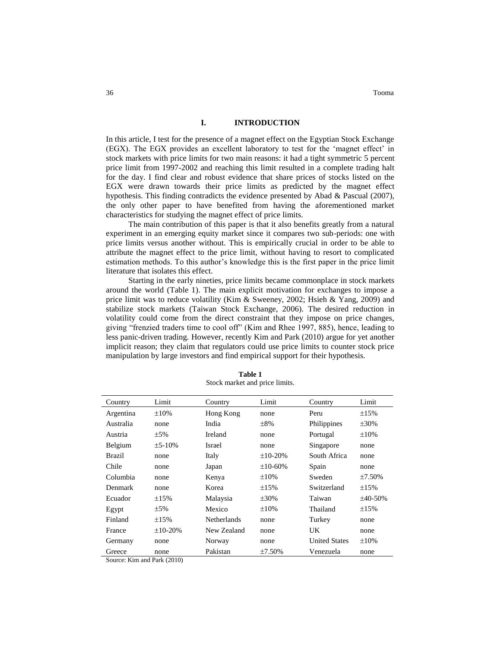# **I. INTRODUCTION**

In this article, I test for the presence of a magnet effect on the Egyptian Stock Exchange (EGX). The EGX provides an excellent laboratory to test for the "magnet effect" in stock markets with price limits for two main reasons: it had a tight symmetric 5 percent price limit from 1997-2002 and reaching this limit resulted in a complete trading halt for the day. I find clear and robust evidence that share prices of stocks listed on the EGX were drawn towards their price limits as predicted by the magnet effect hypothesis. This finding contradicts the evidence presented by Abad & Pascual (2007), the only other paper to have benefited from having the aforementioned market characteristics for studying the magnet effect of price limits.

The main contribution of this paper is that it also benefits greatly from a natural experiment in an emerging equity market since it compares two sub-periods: one with price limits versus another without. This is empirically crucial in order to be able to attribute the magnet effect to the price limit, without having to resort to complicated estimation methods. To this author"s knowledge this is the first paper in the price limit literature that isolates this effect.

Starting in the early nineties, price limits became commonplace in stock markets around the world (Table 1). The main explicit motivation for exchanges to impose a price limit was to reduce volatility (Kim & Sweeney, 2002; Hsieh & Yang, 2009) and stabilize stock markets (Taiwan Stock Exchange, 2006). The desired reduction in volatility could come from the direct constraint that they impose on price changes, giving "frenzied traders time to cool off" (Kim and Rhee 1997, 885), hence, leading to less panic-driven trading. However, recently Kim and Park (2010) argue for yet another implicit reason; they claim that regulators could use price limits to counter stock price manipulation by large investors and find empirical support for their hypothesis.

| Country       | Limit           | Country            | Limit           | Country              | Limit        |
|---------------|-----------------|--------------------|-----------------|----------------------|--------------|
| Argentina     | $\pm 10\%$      | Hong Kong          | none            | Peru                 | $\pm 15\%$   |
| Australia     | none            | India              | $\pm 8\%$       | Philippines          | $\pm 30\%$   |
| Austria       | $\pm$ 5%        | <b>Ireland</b>     | none            | Portugal             | $\pm 10\%$   |
| Belgium       | $\pm$ 5-10%     | Israel             | none            | Singapore            | none         |
| <b>Brazil</b> | none            | Italy              | $\pm 10 - 20\%$ | South Africa         | none         |
| Chile         | none            | Japan              | $\pm 10 - 60\%$ | Spain                | none         |
| Columbia      | none            | Kenya              | $\pm 10\%$      | Sweden               | $\pm 7.50\%$ |
| Denmark       | none            | Korea              | $\pm 15\%$      | Switzerland          | $\pm 15\%$   |
| Ecuador       | $\pm 15\%$      | Malaysia           | $\pm 30\%$      | Taiwan               | $±40-50%$    |
| Egypt         | $\pm$ 5%        | Mexico             | $\pm 10\%$      | Thailand             | $\pm 15\%$   |
| Finland       | $\pm 15%$       | <b>Netherlands</b> | none            | Turkey               | none         |
| France        | $\pm 10 - 20\%$ | New Zealand        | none            | UK                   | none         |
| Germany       | none            | Norway             | none            | <b>United States</b> | $\pm 10\%$   |
| Greece        | none            | Pakistan           | $±7.50\%$       | Venezuela            | none         |

**Table 1** Stock market and price limits.

Source: Kim and Park (2010)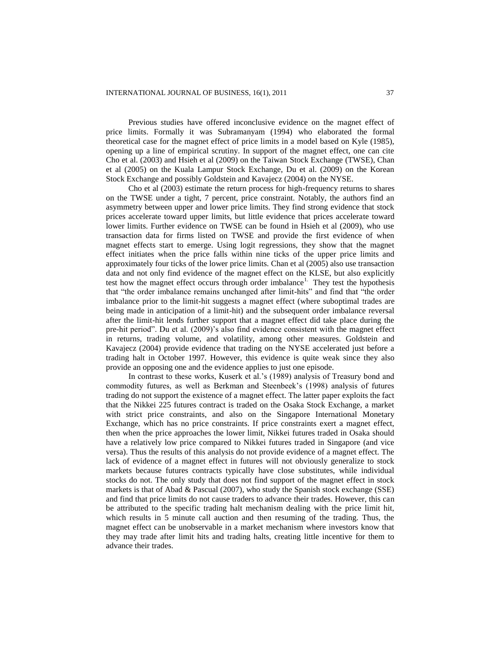Previous studies have offered inconclusive evidence on the magnet effect of price limits. Formally it was Subramanyam (1994) who elaborated the formal theoretical case for the magnet effect of price limits in a model based on Kyle (1985), opening up a line of empirical scrutiny. In support of the magnet effect, one can cite Cho et al. (2003) and Hsieh et al (2009) on the Taiwan Stock Exchange (TWSE), Chan et al (2005) on the Kuala Lampur Stock Exchange, Du et al. (2009) on the Korean Stock Exchange and possibly Goldstein and Kavajecz (2004) on the NYSE.

Cho et al (2003) estimate the return process for high-frequency returns to shares on the TWSE under a tight, 7 percent, price constraint. Notably, the authors find an asymmetry between upper and lower price limits. They find strong evidence that stock prices accelerate toward upper limits, but little evidence that prices accelerate toward lower limits. Further evidence on TWSE can be found in Hsieh et al (2009), who use transaction data for firms listed on TWSE and provide the first evidence of when magnet effects start to emerge. Using logit regressions, they show that the magnet effect initiates when the price falls within nine ticks of the upper price limits and approximately four ticks of the lower price limits. Chan et al (2005) also use transaction data and not only find evidence of the magnet effect on the KLSE, but also explicitly test how the magnet effect occurs through order imbalance<sup>1</sup>. They test the hypothesis that "the order imbalance remains unchanged after limit-hits" and find that "the order imbalance prior to the limit-hit suggests a magnet effect (where suboptimal trades are being made in anticipation of a limit-hit) and the subsequent order imbalance reversal after the limit-hit lends further support that a magnet effect did take place during the pre-hit period". Du et al. (2009)"s also find evidence consistent with the magnet effect in returns, trading volume, and volatility, among other measures. Goldstein and Kavajecz (2004) provide evidence that trading on the NYSE accelerated just before a trading halt in October 1997. However, this evidence is quite weak since they also provide an opposing one and the evidence applies to just one episode.

In contrast to these works, Kuserk et al.'s (1989) analysis of Treasury bond and commodity futures, as well as Berkman and Steenbeek"s (1998) analysis of futures trading do not support the existence of a magnet effect. The latter paper exploits the fact that the Nikkei 225 futures contract is traded on the Osaka Stock Exchange, a market with strict price constraints, and also on the Singapore International Monetary Exchange, which has no price constraints. If price constraints exert a magnet effect, then when the price approaches the lower limit, Nikkei futures traded in Osaka should have a relatively low price compared to Nikkei futures traded in Singapore (and vice versa). Thus the results of this analysis do not provide evidence of a magnet effect. The lack of evidence of a magnet effect in futures will not obviously generalize to stock markets because futures contracts typically have close substitutes, while individual stocks do not. The only study that does not find support of the magnet effect in stock markets is that of Abad & Pascual  $(2007)$ , who study the Spanish stock exchange (SSE) and find that price limits do not cause traders to advance their trades. However, this can be attributed to the specific trading halt mechanism dealing with the price limit hit, which results in 5 minute call auction and then resuming of the trading. Thus, the magnet effect can be unobservable in a market mechanism where investors know that they may trade after limit hits and trading halts, creating little incentive for them to advance their trades.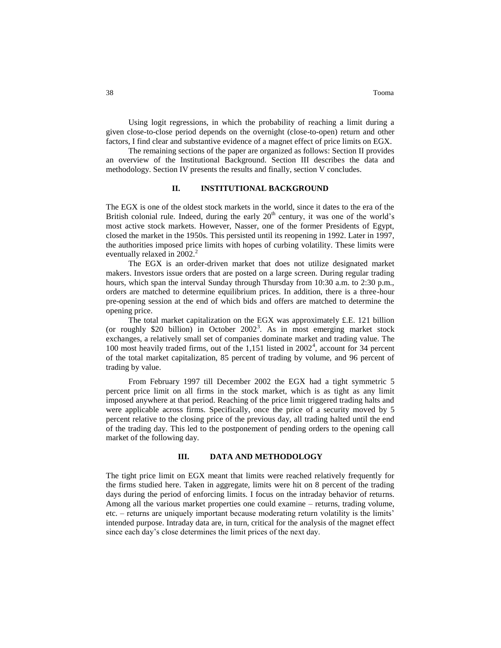Using logit regressions, in which the probability of reaching a limit during a given close-to-close period depends on the overnight (close-to-open) return and other factors, I find clear and substantive evidence of a magnet effect of price limits on EGX.

The remaining sections of the paper are organized as follows: Section II provides an overview of the Institutional Background. Section III describes the data and methodology. Section IV presents the results and finally, section V concludes.

# **II. INSTITUTIONAL BACKGROUND**

The EGX is one of the oldest stock markets in the world, since it dates to the era of the British colonial rule. Indeed, during the early  $20<sup>th</sup>$  century, it was one of the world's most active stock markets. However, Nasser, one of the former Presidents of Egypt, closed the market in the 1950s. This persisted until its reopening in 1992. Later in 1997, the authorities imposed price limits with hopes of curbing volatility. These limits were eventually relaxed in 2002.<sup>2</sup>

The EGX is an order-driven market that does not utilize designated market makers. Investors issue orders that are posted on a large screen. During regular trading hours, which span the interval Sunday through Thursday from 10:30 a.m. to 2:30 p.m., orders are matched to determine equilibrium prices. In addition, there is a three-hour pre-opening session at the end of which bids and offers are matched to determine the opening price.

The total market capitalization on the EGX was approximately £.E. 121 billion (or roughly \$20 billion) in October 2002<sup>3</sup> . As in most emerging market stock exchanges, a relatively small set of companies dominate market and trading value. The 100 most heavily traded firms, out of the  $1,151$  listed in  $2002<sup>4</sup>$ , account for 34 percent of the total market capitalization, 85 percent of trading by volume, and 96 percent of trading by value.

From February 1997 till December 2002 the EGX had a tight symmetric 5 percent price limit on all firms in the stock market, which is as tight as any limit imposed anywhere at that period. Reaching of the price limit triggered trading halts and were applicable across firms. Specifically, once the price of a security moved by 5 percent relative to the closing price of the previous day, all trading halted until the end of the trading day. This led to the postponement of pending orders to the opening call market of the following day.

# **III. DATA AND METHODOLOGY**

The tight price limit on EGX meant that limits were reached relatively frequently for the firms studied here. Taken in aggregate, limits were hit on 8 percent of the trading days during the period of enforcing limits. I focus on the intraday behavior of returns. Among all the various market properties one could examine – returns, trading volume, etc. – returns are uniquely important because moderating return volatility is the limits" intended purpose. Intraday data are, in turn, critical for the analysis of the magnet effect since each day"s close determines the limit prices of the next day.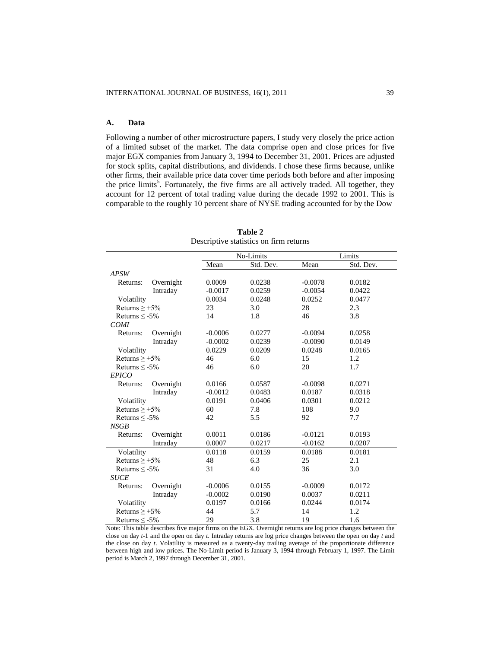# **A. Data**

Following a number of other microstructure papers, I study very closely the price action of a limited subset of the market. The data comprise open and close prices for five major EGX companies from January 3, 1994 to December 31, 2001. Prices are adjusted for stock splits, capital distributions, and dividends. I chose these firms because, unlike other firms, their available price data cover time periods both before and after imposing the price limits<sup>5</sup>. Fortunately, the five firms are all actively traded. All together, they account for 12 percent of total trading value during the decade 1992 to 2001. This is comparable to the roughly 10 percent share of NYSE trading accounted for by the Dow

| Mean<br>Std. Dev.<br>Mean<br>Std. Dev.<br><b>APSW</b><br>0.0009<br>Overnight<br>0.0238<br>$-0.0078$<br>0.0182<br>Returns:<br>0.0259<br>Intraday<br>$-0.0017$<br>$-0.0054$<br>0.0422<br>Volatility<br>0.0034<br>0.0252<br>0.0477<br>0.0248<br>Returns $> +5\%$<br>23<br>3.0<br>28<br>2.3<br>14<br>1.8<br>3.8<br>Returns $\leq$ -5%<br>46<br><b>COMI</b><br>$-0.0006$<br>0.0277<br>$-0.0094$<br>0.0258<br>Overnight<br>Returns:<br>Intraday<br>$-0.0002$<br>0.0239<br>$-0.0090$<br>0.0149<br>0.0229<br>0.0209<br>0.0248<br>0.0165<br>Volatility<br>Returns $> +5\%$<br>46<br>6.0<br>15<br>1.2<br>6.0<br>20<br>1.7<br>46<br>Returns $\leq$ -5%<br><b>EPICO</b><br>0.0166<br>0.0587<br>0.0271<br>Returns:<br>Overnight<br>$-0.0098$<br>Intraday<br>$-0.0012$<br>0.0483<br>0.0187<br>0.0318<br>Volatility<br>0.0191<br>0.0406<br>0.0301<br>0.0212<br>108<br>Returns $\geq +5\%$<br>60<br>7.8<br>9.0<br>42<br>5.5<br>7.7<br>92<br>Returns $\leq$ -5%<br>NSGB<br>0.0011<br>0.0186<br>$-0.0121$<br>0.0193<br>Overnight<br>Returns:<br>Intraday<br>0.0007<br>0.0217<br>$-0.0162$<br>0.0207<br>Volatility<br>0.0118<br>0.0159<br>0.0188<br>0.0181<br>Returns $> +5\%$<br>48<br>6.3<br>25<br>2.1<br>31<br>4.0<br>36<br>3.0<br>Returns $\leq -5\%$<br><b>SUCE</b><br>$-0.0006$<br>0.0155<br>$-0.0009$<br>0.0172<br>Overnight<br>Returns:<br>0.0211<br>Intraday<br>$-0.0002$<br>0.0190<br>0.0037<br>Volatility<br>0.0197<br>0.0166<br>0.0244<br>0.0174<br>Returns $\geq +5\%$<br>44<br>5.7<br>14<br>1.2 |  | No-Limits<br>Limits |  |  |  |
|--------------------------------------------------------------------------------------------------------------------------------------------------------------------------------------------------------------------------------------------------------------------------------------------------------------------------------------------------------------------------------------------------------------------------------------------------------------------------------------------------------------------------------------------------------------------------------------------------------------------------------------------------------------------------------------------------------------------------------------------------------------------------------------------------------------------------------------------------------------------------------------------------------------------------------------------------------------------------------------------------------------------------------------------------------------------------------------------------------------------------------------------------------------------------------------------------------------------------------------------------------------------------------------------------------------------------------------------------------------------------------------------------------------------------------------------------------------------------------------------|--|---------------------|--|--|--|
|                                                                                                                                                                                                                                                                                                                                                                                                                                                                                                                                                                                                                                                                                                                                                                                                                                                                                                                                                                                                                                                                                                                                                                                                                                                                                                                                                                                                                                                                                            |  |                     |  |  |  |
|                                                                                                                                                                                                                                                                                                                                                                                                                                                                                                                                                                                                                                                                                                                                                                                                                                                                                                                                                                                                                                                                                                                                                                                                                                                                                                                                                                                                                                                                                            |  |                     |  |  |  |
|                                                                                                                                                                                                                                                                                                                                                                                                                                                                                                                                                                                                                                                                                                                                                                                                                                                                                                                                                                                                                                                                                                                                                                                                                                                                                                                                                                                                                                                                                            |  |                     |  |  |  |
|                                                                                                                                                                                                                                                                                                                                                                                                                                                                                                                                                                                                                                                                                                                                                                                                                                                                                                                                                                                                                                                                                                                                                                                                                                                                                                                                                                                                                                                                                            |  |                     |  |  |  |
|                                                                                                                                                                                                                                                                                                                                                                                                                                                                                                                                                                                                                                                                                                                                                                                                                                                                                                                                                                                                                                                                                                                                                                                                                                                                                                                                                                                                                                                                                            |  |                     |  |  |  |
|                                                                                                                                                                                                                                                                                                                                                                                                                                                                                                                                                                                                                                                                                                                                                                                                                                                                                                                                                                                                                                                                                                                                                                                                                                                                                                                                                                                                                                                                                            |  |                     |  |  |  |
|                                                                                                                                                                                                                                                                                                                                                                                                                                                                                                                                                                                                                                                                                                                                                                                                                                                                                                                                                                                                                                                                                                                                                                                                                                                                                                                                                                                                                                                                                            |  |                     |  |  |  |
|                                                                                                                                                                                                                                                                                                                                                                                                                                                                                                                                                                                                                                                                                                                                                                                                                                                                                                                                                                                                                                                                                                                                                                                                                                                                                                                                                                                                                                                                                            |  |                     |  |  |  |
|                                                                                                                                                                                                                                                                                                                                                                                                                                                                                                                                                                                                                                                                                                                                                                                                                                                                                                                                                                                                                                                                                                                                                                                                                                                                                                                                                                                                                                                                                            |  |                     |  |  |  |
|                                                                                                                                                                                                                                                                                                                                                                                                                                                                                                                                                                                                                                                                                                                                                                                                                                                                                                                                                                                                                                                                                                                                                                                                                                                                                                                                                                                                                                                                                            |  |                     |  |  |  |
|                                                                                                                                                                                                                                                                                                                                                                                                                                                                                                                                                                                                                                                                                                                                                                                                                                                                                                                                                                                                                                                                                                                                                                                                                                                                                                                                                                                                                                                                                            |  |                     |  |  |  |
|                                                                                                                                                                                                                                                                                                                                                                                                                                                                                                                                                                                                                                                                                                                                                                                                                                                                                                                                                                                                                                                                                                                                                                                                                                                                                                                                                                                                                                                                                            |  |                     |  |  |  |
|                                                                                                                                                                                                                                                                                                                                                                                                                                                                                                                                                                                                                                                                                                                                                                                                                                                                                                                                                                                                                                                                                                                                                                                                                                                                                                                                                                                                                                                                                            |  |                     |  |  |  |
|                                                                                                                                                                                                                                                                                                                                                                                                                                                                                                                                                                                                                                                                                                                                                                                                                                                                                                                                                                                                                                                                                                                                                                                                                                                                                                                                                                                                                                                                                            |  |                     |  |  |  |
|                                                                                                                                                                                                                                                                                                                                                                                                                                                                                                                                                                                                                                                                                                                                                                                                                                                                                                                                                                                                                                                                                                                                                                                                                                                                                                                                                                                                                                                                                            |  |                     |  |  |  |
|                                                                                                                                                                                                                                                                                                                                                                                                                                                                                                                                                                                                                                                                                                                                                                                                                                                                                                                                                                                                                                                                                                                                                                                                                                                                                                                                                                                                                                                                                            |  |                     |  |  |  |
|                                                                                                                                                                                                                                                                                                                                                                                                                                                                                                                                                                                                                                                                                                                                                                                                                                                                                                                                                                                                                                                                                                                                                                                                                                                                                                                                                                                                                                                                                            |  |                     |  |  |  |
|                                                                                                                                                                                                                                                                                                                                                                                                                                                                                                                                                                                                                                                                                                                                                                                                                                                                                                                                                                                                                                                                                                                                                                                                                                                                                                                                                                                                                                                                                            |  |                     |  |  |  |
|                                                                                                                                                                                                                                                                                                                                                                                                                                                                                                                                                                                                                                                                                                                                                                                                                                                                                                                                                                                                                                                                                                                                                                                                                                                                                                                                                                                                                                                                                            |  |                     |  |  |  |
|                                                                                                                                                                                                                                                                                                                                                                                                                                                                                                                                                                                                                                                                                                                                                                                                                                                                                                                                                                                                                                                                                                                                                                                                                                                                                                                                                                                                                                                                                            |  |                     |  |  |  |
|                                                                                                                                                                                                                                                                                                                                                                                                                                                                                                                                                                                                                                                                                                                                                                                                                                                                                                                                                                                                                                                                                                                                                                                                                                                                                                                                                                                                                                                                                            |  |                     |  |  |  |
|                                                                                                                                                                                                                                                                                                                                                                                                                                                                                                                                                                                                                                                                                                                                                                                                                                                                                                                                                                                                                                                                                                                                                                                                                                                                                                                                                                                                                                                                                            |  |                     |  |  |  |
|                                                                                                                                                                                                                                                                                                                                                                                                                                                                                                                                                                                                                                                                                                                                                                                                                                                                                                                                                                                                                                                                                                                                                                                                                                                                                                                                                                                                                                                                                            |  |                     |  |  |  |
|                                                                                                                                                                                                                                                                                                                                                                                                                                                                                                                                                                                                                                                                                                                                                                                                                                                                                                                                                                                                                                                                                                                                                                                                                                                                                                                                                                                                                                                                                            |  |                     |  |  |  |
|                                                                                                                                                                                                                                                                                                                                                                                                                                                                                                                                                                                                                                                                                                                                                                                                                                                                                                                                                                                                                                                                                                                                                                                                                                                                                                                                                                                                                                                                                            |  |                     |  |  |  |
|                                                                                                                                                                                                                                                                                                                                                                                                                                                                                                                                                                                                                                                                                                                                                                                                                                                                                                                                                                                                                                                                                                                                                                                                                                                                                                                                                                                                                                                                                            |  |                     |  |  |  |
|                                                                                                                                                                                                                                                                                                                                                                                                                                                                                                                                                                                                                                                                                                                                                                                                                                                                                                                                                                                                                                                                                                                                                                                                                                                                                                                                                                                                                                                                                            |  |                     |  |  |  |
|                                                                                                                                                                                                                                                                                                                                                                                                                                                                                                                                                                                                                                                                                                                                                                                                                                                                                                                                                                                                                                                                                                                                                                                                                                                                                                                                                                                                                                                                                            |  |                     |  |  |  |
|                                                                                                                                                                                                                                                                                                                                                                                                                                                                                                                                                                                                                                                                                                                                                                                                                                                                                                                                                                                                                                                                                                                                                                                                                                                                                                                                                                                                                                                                                            |  |                     |  |  |  |
|                                                                                                                                                                                                                                                                                                                                                                                                                                                                                                                                                                                                                                                                                                                                                                                                                                                                                                                                                                                                                                                                                                                                                                                                                                                                                                                                                                                                                                                                                            |  |                     |  |  |  |
|                                                                                                                                                                                                                                                                                                                                                                                                                                                                                                                                                                                                                                                                                                                                                                                                                                                                                                                                                                                                                                                                                                                                                                                                                                                                                                                                                                                                                                                                                            |  |                     |  |  |  |
| 29<br>3.8<br>19<br>1.6<br>Returns $\leq$ -5%                                                                                                                                                                                                                                                                                                                                                                                                                                                                                                                                                                                                                                                                                                                                                                                                                                                                                                                                                                                                                                                                                                                                                                                                                                                                                                                                                                                                                                               |  |                     |  |  |  |

**Table 2** Descriptive statistics on firm returns

Note: This table describes five major firms on the EGX. Overnight returns are log price changes between the close on day *t*-1 and the open on day *t*. Intraday returns are log price changes between the open on day *t* and the close on day *t*. Volatility is measured as a twenty-day trailing average of the proportionate difference between high and low prices. The No-Limit period is January 3, 1994 through February 1, 1997. The Limit period is March 2, 1997 through December 31, 2001.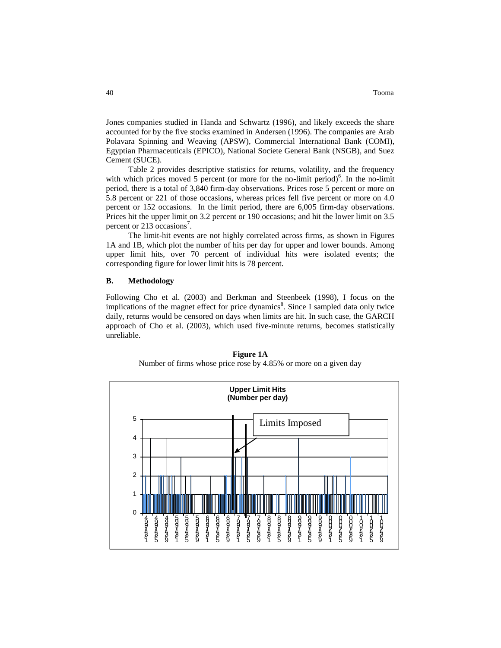Jones companies studied in Handa and Schwartz (1996), and likely exceeds the share accounted for by the five stocks examined in Andersen (1996). The companies are Arab Polavara Spinning and Weaving (APSW), Commercial International Bank (COMI), Egyptian Pharmaceuticals (EPICO), National Societe General Bank (NSGB), and Suez Cement (SUCE).

Table 2 provides descriptive statistics for returns, volatility, and the frequency with which prices moved 5 percent (or more for the no-limit period) $6$ . In the no-limit period, there is a total of 3,840 firm-day observations. Prices rose 5 percent or more on 5.8 percent or 221 of those occasions, whereas prices fell five percent or more on 4.0 percent or 152 occasions. In the limit period, there are 6,005 firm-day observations. Prices hit the upper limit on 3.2 percent or 190 occasions; and hit the lower limit on 3.5 percent or 213 occasions<sup>7</sup>.

The limit-hit events are not highly correlated across firms, as shown in Figures 1A and 1B, which plot the number of hits per day for upper and lower bounds. Among upper limit hits, over 70 percent of individual hits were isolated events; the corresponding figure for lower limit hits is 78 percent.

## **B. Methodology**

Following Cho et al. (2003) and Berkman and Steenbeek (1998), I focus on the implications of the magnet effect for price dynamics<sup>8</sup>. Since I sampled data only twice daily, returns would be censored on days when limits are hit. In such case, the GARCH approach of Cho et al. (2003), which used five-minute returns, becomes statistically unreliable.



**Figure 1A** Number of firms whose price rose by 4.85% or more on a given day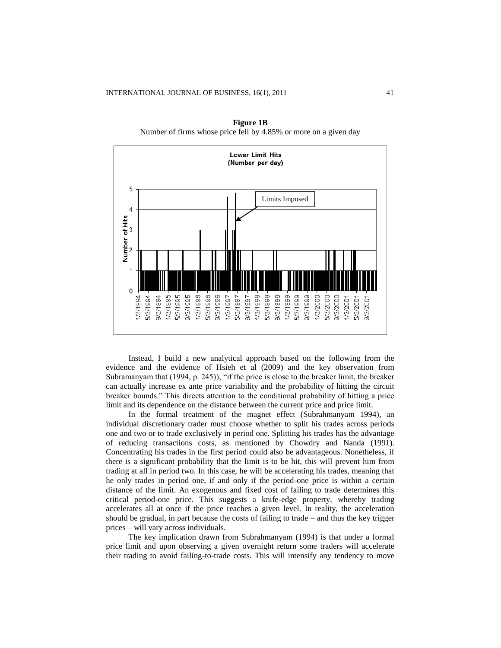

**Figure 1B** Number of firms whose price fell by 4.85% or more on a given day

Instead, I build a new analytical approach based on the following from the evidence and the evidence of Hsieh et al (2009) and the key observation from Subramanyam that (1994, p. 245)); "if the price is close to the breaker limit, the breaker can actually increase ex ante price variability and the probability of hitting the circuit breaker bounds." This directs attention to the conditional probability of hitting a price limit and its dependence on the distance between the current price and price limit.

In the formal treatment of the magnet effect (Subrahmanyam 1994), an individual discretionary trader must choose whether to split his trades across periods one and two or to trade exclusively in period one. Splitting his trades has the advantage of reducing transactions costs, as mentioned by Chowdry and Nanda (1991). Concentrating his trades in the first period could also be advantageous. Nonetheless, if there is a significant probability that the limit is to be hit, this will prevent him from trading at all in period two. In this case, he will be accelerating his trades, meaning that he only trades in period one, if and only if the period-one price is within a certain distance of the limit. An exogenous and fixed cost of failing to trade determines this critical period-one price. This suggests a knife-edge property, whereby trading accelerates all at once if the price reaches a given level. In reality, the acceleration should be gradual, in part because the costs of failing to trade – and thus the key trigger prices – will vary across individuals.

The key implication drawn from Subrahmanyam (1994) is that under a formal price limit and upon observing a given overnight return some traders will accelerate their trading to avoid failing-to-trade costs. This will intensify any tendency to move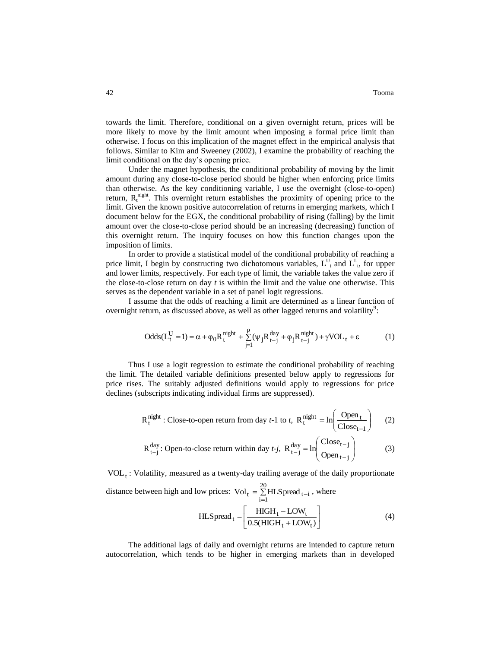towards the limit. Therefore, conditional on a given overnight return, prices will be more likely to move by the limit amount when imposing a formal price limit than otherwise. I focus on this implication of the magnet effect in the empirical analysis that follows. Similar to Kim and Sweeney (2002), I examine the probability of reaching the limit conditional on the day"s opening price.

Under the magnet hypothesis, the conditional probability of moving by the limit amount during any close-to-close period should be higher when enforcing price limits than otherwise. As the key conditioning variable, I use the overnight (close-to-open) return,  $R_t^{\text{night}}$ . This overnight return establishes the proximity of opening price to the limit. Given the known positive autocorrelation of returns in emerging markets, which I document below for the EGX, the conditional probability of rising (falling) by the limit amount over the close-to-close period should be an increasing (decreasing) function of this overnight return. The inquiry focuses on how this function changes upon the imposition of limits.

In order to provide a statistical model of the conditional probability of reaching a price limit, I begin by constructing two dichotomous variables,  $L_{t}^{U}$  and  $L_{t}^{L}$ , for upper and lower limits, respectively. For each type of limit, the variable takes the value zero if the close-to-close return on day *t* is within the limit and the value one otherwise. This serves as the dependent variable in a set of panel logit regressions.

I assume that the odds of reaching a limit are determined as a linear function of overnight return, as discussed above, as well as other lagged returns and volatility<sup>9</sup>:

$$
Odds(L_t^U = 1) = \alpha + \varphi_0 R_t^{\text{night}} + \sum_{j=1}^p (\psi_j R_{t-j}^{\text{day}} + \varphi_j R_{t-j}^{\text{night}}) + \gamma VOL_t + \varepsilon
$$
 (1)

Thus I use a logit regression to estimate the conditional probability of reaching the limit. The detailed variable definitions presented below apply to regressions for price rises. The suitably adjusted definitions would apply to regressions for price declines (subscripts indicating individual firms are suppressed).

$$
R_t^{\text{night}} : \text{Close-to-open return from day } t-1 \text{ to } t, \ R_t^{\text{night}} = \ln\left(\frac{\text{Open}_t}{\text{Close}_{t-1}}\right) \tag{2}
$$

$$
R_{t-j}^{day}
$$
: Open-to-close return within day *t-j*,  $R_{t-j}^{day} = \ln\left(\frac{C\log_{t-j}}{Open_{t-j}}\right)$  (3)

 $\text{VOL}_t$ : Volatility, measured as a twenty-day trailing average of the daily proportionate distance between high and low prices:  $Vol_t = \sum_{ }^{\infty}$ 20

ow prices: Vol<sub>t</sub> = 
$$
\sum_{i=1}^{\infty} \text{HL} \text{Spread}_{t-i}
$$
, where  
HLSpread<sub>t</sub> =  $\left[ \frac{\text{HIGH}_t - \text{LOW}_t}{0.5(\text{HIGH}_t + \text{LOW}_t)} \right]$  (4)

The additional lags of daily and overnight returns are intended to capture return autocorrelation, which tends to be higher in emerging markets than in developed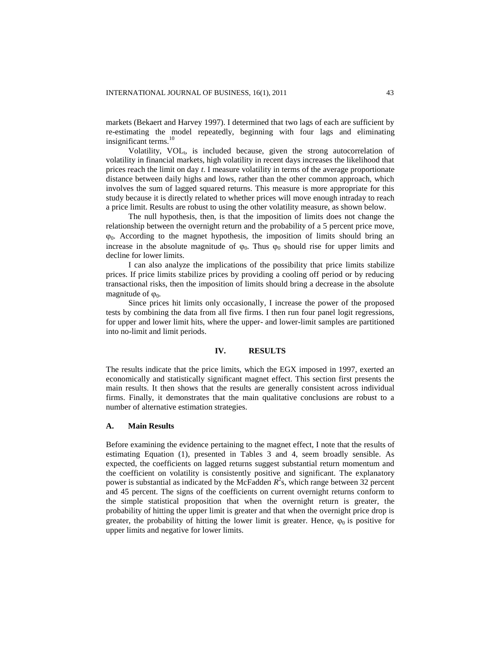markets (Bekaert and Harvey 1997). I determined that two lags of each are sufficient by re-estimating the model repeatedly, beginning with four lags and eliminating insignificant terms.<sup>10</sup>

Volatility, VOL<sub>t</sub>, is included because, given the strong autocorrelation of volatility in financial markets, high volatility in recent days increases the likelihood that prices reach the limit on day *t*. I measure volatility in terms of the average proportionate distance between daily highs and lows, rather than the other common approach, which involves the sum of lagged squared returns. This measure is more appropriate for this study because it is directly related to whether prices will move enough intraday to reach a price limit. Results are robust to using the other volatility measure, as shown below.

The null hypothesis, then, is that the imposition of limits does not change the relationship between the overnight return and the probability of a 5 percent price move,  $\varphi_0$ . According to the magnet hypothesis, the imposition of limits should bring an increase in the absolute magnitude of  $\varphi_0$ . Thus  $\varphi_0$  should rise for upper limits and decline for lower limits.

I can also analyze the implications of the possibility that price limits stabilize prices. If price limits stabilize prices by providing a cooling off period or by reducing transactional risks, then the imposition of limits should bring a decrease in the absolute magnitude of  $\omega_0$ .

Since prices hit limits only occasionally, I increase the power of the proposed tests by combining the data from all five firms. I then run four panel logit regressions, for upper and lower limit hits, where the upper- and lower-limit samples are partitioned into no-limit and limit periods.

# **IV. RESULTS**

The results indicate that the price limits, which the EGX imposed in 1997, exerted an economically and statistically significant magnet effect. This section first presents the main results. It then shows that the results are generally consistent across individual firms. Finally, it demonstrates that the main qualitative conclusions are robust to a number of alternative estimation strategies.

### **A. Main Results**

Before examining the evidence pertaining to the magnet effect, I note that the results of estimating Equation (1), presented in Tables 3 and 4, seem broadly sensible. As expected, the coefficients on lagged returns suggest substantial return momentum and the coefficient on volatility is consistently positive and significant. The explanatory power is substantial as indicated by the McFadden  $R^2$ s, which range between 32 percent and 45 percent. The signs of the coefficients on current overnight returns conform to the simple statistical proposition that when the overnight return is greater, the probability of hitting the upper limit is greater and that when the overnight price drop is greater, the probability of hitting the lower limit is greater. Hence,  $\varphi_0$  is positive for upper limits and negative for lower limits.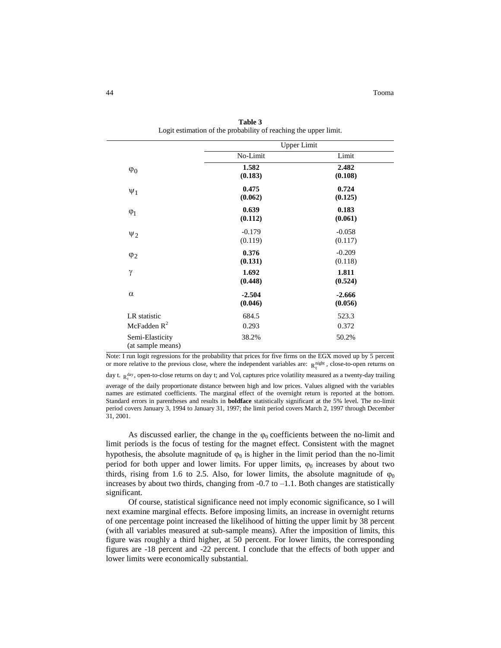|                                      | <b>Upper Limit</b>  |                     |
|--------------------------------------|---------------------|---------------------|
|                                      | No-Limit            | Limit               |
| $\varphi_0$                          | 1.582<br>(0.183)    | 2.482<br>(0.108)    |
| $\Psi_1$                             | 0.475<br>(0.062)    | 0.724<br>(0.125)    |
| $\varphi_1$                          | 0.639<br>(0.112)    | 0.183<br>(0.061)    |
| $\Psi_2$                             | $-0.179$<br>(0.119) | $-0.058$<br>(0.117) |
| $\varphi_2$                          | 0.376<br>(0.131)    | $-0.209$<br>(0.118) |
| $\gamma$                             | 1.692<br>(0.448)    | 1.811<br>(0.524)    |
| $\alpha$                             | $-2.504$<br>(0.046) | $-2.666$<br>(0.056) |
| LR statistic                         | 684.5               | 523.3               |
| McFadden $R^2$                       | 0.293               | 0.372               |
| Semi-Elasticity<br>(at sample means) | 38.2%               | 50.2%               |

**Table 3** Logit estimation of the probability of reaching the upper limit.

Note: I run logit regressions for the probability that prices for five firms on the EGX moved up by 5 percent or more relative to the previous close, where the independent variables are:  $R_t^{\text{night}}$ , close-to-open returns on

day t.  $R_t^{day}$ , open-to-close returns on day t; and Vol<sub>t</sub> captures price volatility measured as a twenty-day trailing average of the daily proportionate distance between high and low prices. Values aligned with the variables names are estimated coefficients. The marginal effect of the overnight return is reported at the bottom. Standard errors in parentheses and results in **boldface** statistically significant at the 5% level. The no-limit period covers January 3, 1994 to January 31, 1997; the limit period covers March 2, 1997 through December 31, 2001.

As discussed earlier, the change in the  $\varphi_0$  coefficients between the no-limit and limit periods is the focus of testing for the magnet effect. Consistent with the magnet hypothesis, the absolute magnitude of  $\varphi_0$  is higher in the limit period than the no-limit period for both upper and lower limits. For upper limits,  $\varphi_0$  increases by about two thirds, rising from 1.6 to 2.5. Also, for lower limits, the absolute magnitude of  $\varphi_0$ increases by about two thirds, changing from  $-0.7$  to  $-1.1$ . Both changes are statistically significant.

Of course, statistical significance need not imply economic significance, so I will next examine marginal effects. Before imposing limits, an increase in overnight returns of one percentage point increased the likelihood of hitting the upper limit by 38 percent (with all variables measured at sub-sample means). After the imposition of limits, this figure was roughly a third higher, at 50 percent. For lower limits, the corresponding figures are -18 percent and -22 percent. I conclude that the effects of both upper and lower limits were economically substantial.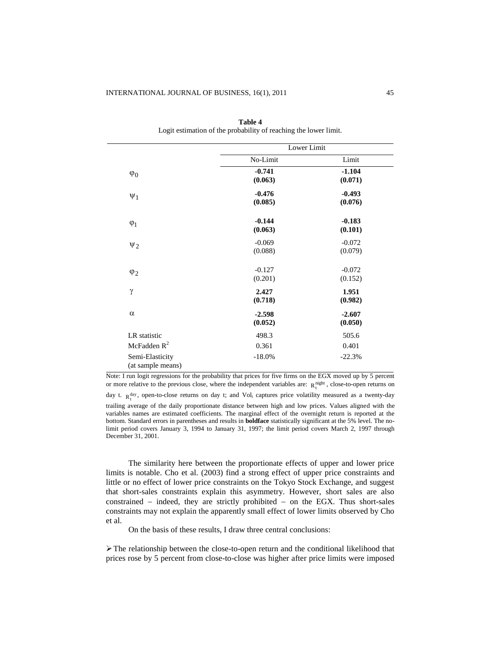|                   | Lower Limit |          |
|-------------------|-------------|----------|
|                   | No-Limit    | Limit    |
| $\varphi_0$       | $-0.741$    | $-1.104$ |
|                   | (0.063)     | (0.071)  |
| $\Psi_1$          | $-0.476$    | $-0.493$ |
|                   | (0.085)     | (0.076)  |
|                   | $-0.144$    | $-0.183$ |
| $\varphi_1$       | (0.063)     | (0.101)  |
| $\Psi_2$          | $-0.069$    | $-0.072$ |
|                   | (0.088)     | (0.079)  |
|                   | $-0.127$    | $-0.072$ |
| $\varphi_2$       | (0.201)     | (0.152)  |
| γ                 | 2.427       | 1.951    |
|                   | (0.718)     | (0.982)  |
| $\alpha$          | $-2.598$    | $-2.607$ |
|                   | (0.052)     | (0.050)  |
| LR statistic      | 498.3       | 505.6    |
| McFadden $R^2$    | 0.361       | 0.401    |
| Semi-Elasticity   | $-18.0%$    | $-22.3%$ |
| (at sample means) |             |          |

| <b>Table 4</b>                                                   |
|------------------------------------------------------------------|
| Logit estimation of the probability of reaching the lower limit. |

Note: I run logit regressions for the probability that prices for five firms on the EGX moved up by 5 percent or more relative to the previous close, where the independent variables are:  $R_t^{\text{night}}$ , close-to-open returns on

day t.  $R_t^{day}$ , open-to-close returns on day t; and Vol<sub>t</sub> captures price volatility measured as a twenty-day trailing average of the daily proportionate distance between high and low prices. Values aligned with the variables names are estimated coefficients. The marginal effect of the overnight return is reported at the bottom. Standard errors in parentheses and results in **boldface** statistically significant at the 5% level. The nolimit period covers January 3, 1994 to January 31, 1997; the limit period covers March 2, 1997 through December 31, 2001.

The similarity here between the proportionate effects of upper and lower price limits is notable. Cho et al. (2003) find a strong effect of upper price constraints and little or no effect of lower price constraints on the Tokyo Stock Exchange, and suggest that short-sales constraints explain this asymmetry. However, short sales are also constrained  $-$  indeed, they are strictly prohibited  $-$  on the EGX. Thus short-sales constraints may not explain the apparently small effect of lower limits observed by Cho et al.

On the basis of these results, I draw three central conclusions:

The relationship between the close-to-open return and the conditional likelihood that prices rose by 5 percent from close-to-close was higher after price limits were imposed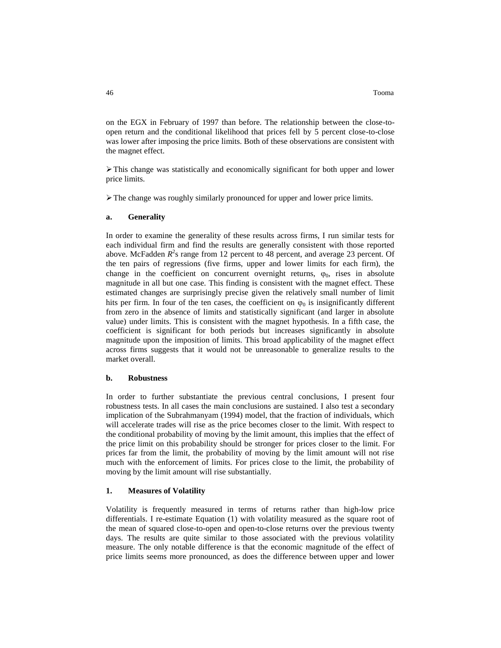on the EGX in February of 1997 than before. The relationship between the close-toopen return and the conditional likelihood that prices fell by 5 percent close-to-close was lower after imposing the price limits. Both of these observations are consistent with the magnet effect.

This change was statistically and economically significant for both upper and lower price limits.

The change was roughly similarly pronounced for upper and lower price limits.

#### **a. Generality**

In order to examine the generality of these results across firms, I run similar tests for each individual firm and find the results are generally consistent with those reported above. McFadden  $R^2$ s range from 12 percent to 48 percent, and average 23 percent. Of the ten pairs of regressions (five firms, upper and lower limits for each firm), the change in the coefficient on concurrent overnight returns,  $\varphi_0$ , rises in absolute magnitude in all but one case. This finding is consistent with the magnet effect. These estimated changes are surprisingly precise given the relatively small number of limit hits per firm. In four of the ten cases, the coefficient on  $\varphi_0$  is insignificantly different from zero in the absence of limits and statistically significant (and larger in absolute value) under limits. This is consistent with the magnet hypothesis. In a fifth case, the coefficient is significant for both periods but increases significantly in absolute magnitude upon the imposition of limits. This broad applicability of the magnet effect across firms suggests that it would not be unreasonable to generalize results to the market overall.

### **b. Robustness**

In order to further substantiate the previous central conclusions, I present four robustness tests. In all cases the main conclusions are sustained. I also test a secondary implication of the Subrahmanyam (1994) model, that the fraction of individuals, which will accelerate trades will rise as the price becomes closer to the limit. With respect to the conditional probability of moving by the limit amount, this implies that the effect of the price limit on this probability should be stronger for prices closer to the limit. For prices far from the limit, the probability of moving by the limit amount will not rise much with the enforcement of limits. For prices close to the limit, the probability of moving by the limit amount will rise substantially.

### **1. Measures of Volatility**

Volatility is frequently measured in terms of returns rather than high-low price differentials. I re-estimate Equation (1) with volatility measured as the square root of the mean of squared close-to-open and open-to-close returns over the previous twenty days. The results are quite similar to those associated with the previous volatility measure. The only notable difference is that the economic magnitude of the effect of price limits seems more pronounced, as does the difference between upper and lower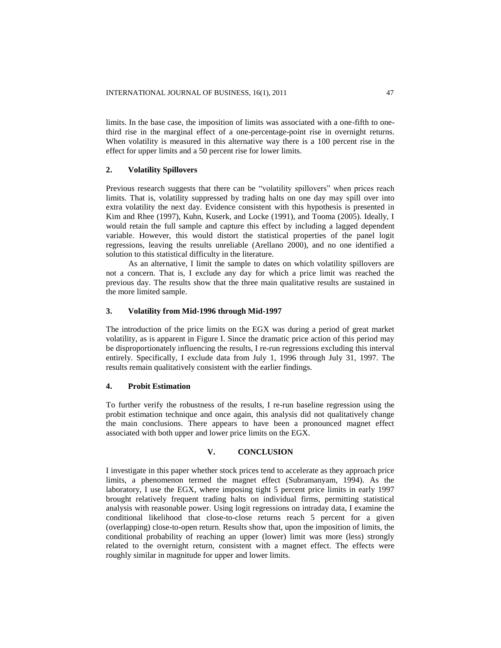limits. In the base case, the imposition of limits was associated with a one-fifth to onethird rise in the marginal effect of a one-percentage-point rise in overnight returns. When volatility is measured in this alternative way there is a 100 percent rise in the effect for upper limits and a 50 percent rise for lower limits.

# **2. Volatility Spillovers**

Previous research suggests that there can be "volatility spillovers" when prices reach limits. That is, volatility suppressed by trading halts on one day may spill over into extra volatility the next day. Evidence consistent with this hypothesis is presented in Kim and Rhee (1997), Kuhn, Kuserk, and Locke (1991), and Tooma (2005). Ideally, I would retain the full sample and capture this effect by including a lagged dependent variable. However, this would distort the statistical properties of the panel logit regressions, leaving the results unreliable (Arellano 2000), and no one identified a solution to this statistical difficulty in the literature.

As an alternative, I limit the sample to dates on which volatility spillovers are not a concern. That is, I exclude any day for which a price limit was reached the previous day. The results show that the three main qualitative results are sustained in the more limited sample.

## **3. Volatility from Mid-1996 through Mid-1997**

The introduction of the price limits on the EGX was during a period of great market volatility, as is apparent in Figure I. Since the dramatic price action of this period may be disproportionately influencing the results, I re-run regressions excluding this interval entirely. Specifically, I exclude data from July 1, 1996 through July 31, 1997. The results remain qualitatively consistent with the earlier findings.

### **4. Probit Estimation**

To further verify the robustness of the results, I re-run baseline regression using the probit estimation technique and once again, this analysis did not qualitatively change the main conclusions. There appears to have been a pronounced magnet effect associated with both upper and lower price limits on the EGX.

# **V. CONCLUSION**

I investigate in this paper whether stock prices tend to accelerate as they approach price limits, a phenomenon termed the magnet effect (Subramanyam, 1994). As the laboratory, I use the EGX, where imposing tight 5 percent price limits in early 1997 brought relatively frequent trading halts on individual firms, permitting statistical analysis with reasonable power. Using logit regressions on intraday data, I examine the conditional likelihood that close-to-close returns reach 5 percent for a given (overlapping) close-to-open return. Results show that, upon the imposition of limits, the conditional probability of reaching an upper (lower) limit was more (less) strongly related to the overnight return, consistent with a magnet effect. The effects were roughly similar in magnitude for upper and lower limits.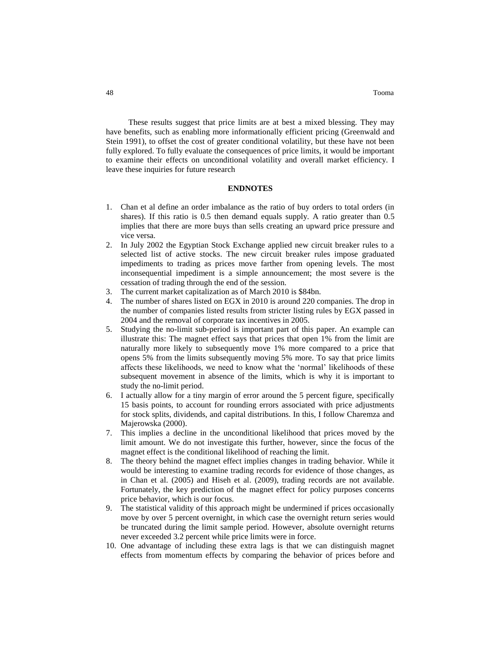These results suggest that price limits are at best a mixed blessing. They may have benefits, such as enabling more informationally efficient pricing (Greenwald and Stein 1991), to offset the cost of greater conditional volatility, but these have not been fully explored. To fully evaluate the consequences of price limits, it would be important to examine their effects on unconditional volatility and overall market efficiency. I leave these inquiries for future research

# **ENDNOTES**

- 1. Chan et al define an order imbalance as the ratio of buy orders to total orders (in shares). If this ratio is 0.5 then demand equals supply. A ratio greater than 0.5 implies that there are more buys than sells creating an upward price pressure and vice versa.
- 2. In July 2002 the Egyptian Stock Exchange applied new circuit breaker rules to a selected list of active stocks. The new circuit breaker rules impose graduated impediments to trading as prices move farther from opening levels. The most inconsequential impediment is a simple announcement; the most severe is the cessation of trading through the end of the session.
- 3. The current market capitalization as of March 2010 is \$84bn.
- 4. The number of shares listed on EGX in 2010 is around 220 companies. The drop in the number of companies listed results from stricter listing rules by EGX passed in 2004 and the removal of corporate tax incentives in 2005.
- 5. Studying the no-limit sub-period is important part of this paper. An example can illustrate this: The magnet effect says that prices that open 1% from the limit are naturally more likely to subsequently move 1% more compared to a price that opens 5% from the limits subsequently moving 5% more. To say that price limits affects these likelihoods, we need to know what the "normal" likelihoods of these subsequent movement in absence of the limits, which is why it is important to study the no-limit period.
- 6. I actually allow for a tiny margin of error around the 5 percent figure, specifically 15 basis points, to account for rounding errors associated with price adjustments for stock splits, dividends, and capital distributions. In this, I follow Charemza and Majerowska (2000).
- 7. This implies a decline in the unconditional likelihood that prices moved by the limit amount. We do not investigate this further, however, since the focus of the magnet effect is the conditional likelihood of reaching the limit.
- 8. The theory behind the magnet effect implies changes in trading behavior. While it would be interesting to examine trading records for evidence of those changes, as in Chan et al. (2005) and Hiseh et al. (2009), trading records are not available. Fortunately, the key prediction of the magnet effect for policy purposes concerns price behavior, which is our focus.
- 9. The statistical validity of this approach might be undermined if prices occasionally move by over 5 percent overnight, in which case the overnight return series would be truncated during the limit sample period. However, absolute overnight returns never exceeded 3.2 percent while price limits were in force.
- 10. One advantage of including these extra lags is that we can distinguish magnet effects from momentum effects by comparing the behavior of prices before and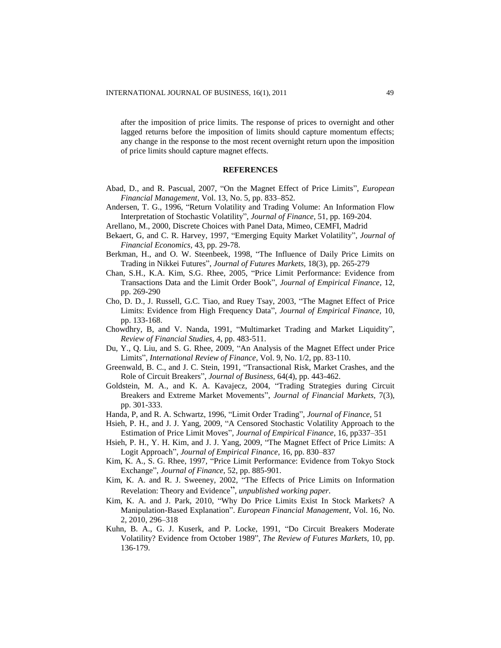after the imposition of price limits. The response of prices to overnight and other lagged returns before the imposition of limits should capture momentum effects; any change in the response to the most recent overnight return upon the imposition of price limits should capture magnet effects.

## **REFERENCES**

- Abad, D., and R. Pascual, 2007, "On the Magnet Effect of Price Limits", *European Financial Management*, Vol. 13, No. 5, pp. 833–852.
- Andersen, T. G., 1996, "Return Volatility and Trading Volume: An Information Flow Interpretation of Stochastic Volatility", *Journal of Finance,* 51, pp. 169-204.
- Arellano, M., 2000, Discrete Choices with Panel Data, Mimeo, CEMFI, Madrid
- Bekaert, G, and C. R. Harvey, 1997, "Emerging Equity Market Volatility", *Journal of Financial Economics,* 43, pp. 29-78.
- Berkman, H., and O. W. Steenbeek, 1998, "The Influence of Daily Price Limits on Trading in Nikkei Futures", *Journal of Futures Markets,* 18(3), pp. 265-279
- Chan, S.H., K.A. Kim, S.G. Rhee, 2005, "Price Limit Performance: Evidence from Transactions Data and the Limit Order Book", *Journal of Empirical Finance*, 12, pp. 269-290
- Cho, D. D., J. Russell, G.C. Tiao, and Ruey Tsay, 2003, "The Magnet Effect of Price Limits: Evidence from High Frequency Data", *Journal of Empirical Finance,* 10, pp. 133-168.
- Chowdhry, B, and V. Nanda, 1991, "Multimarket Trading and Market Liquidity", *Review of Financial Studies,* 4, pp. 483-511.
- Du, Y., Q. Liu, and S. G. Rhee, 2009, "An Analysis of the Magnet Effect under Price Limits", *International Review of Finance*, Vol. 9, No. 1/2, pp. 83-110.
- Greenwald, B. C., and J. C. Stein, 1991, "Transactional Risk, Market Crashes, and the Role of Circuit Breakers", *Journal of Business,* 64(4), pp. 443-462.
- Goldstein, M. A., and K. A. Kavajecz, 2004, "Trading Strategies during Circuit Breakers and Extreme Market Movements", *Journal of Financial Markets,* 7(3), pp. 301-333.
- Handa, P, and R. A. Schwartz, 1996, "Limit Order Trading", *Journal of Finance,* 51
- Hsieh, P. H., and J. J. Yang, 2009, "A Censored Stochastic Volatility Approach to the Estimation of Price Limit Moves"*, Journal of Empirical Finance*, 16, pp337–351
- Hsieh, P. H., Y. H. Kim, and J. J. Yang, 2009, "The Magnet Effect of Price Limits: A Logit Approach"*, Journal of Empirical Finance,* 16, pp. 830–837
- Kim, K. A., S. G. Rhee, 1997, "Price Limit Performance: Evidence from Tokyo Stock Exchange", *Journal of Finance,* 52, pp. 885-901.
- Kim, K. A. and R. J. Sweeney, 2002, ["The Effects of Price Limits on Information](http://www.acsu.buffalo.edu/~kk52/PriceLimits_Newest_revised.pdf)  [Revelation: Theory and Evidence](http://www.acsu.buffalo.edu/~kk52/PriceLimits_Newest_revised.pdf)", *unpublished working paper.*
- Kim, K. A. and J. Park, 2010, "Why Do Price Limits Exist In Stock Markets? A Manipulation-Based Explanation". *European Financial Management*, Vol. 16, No. 2, 2010, 296–318
- Kuhn, B. A., G. J. Kuserk, and P. Locke, 1991, "Do Circuit Breakers Moderate Volatility? Evidence from October 1989", *The Review of Futures Markets,* 10, pp. 136-179.